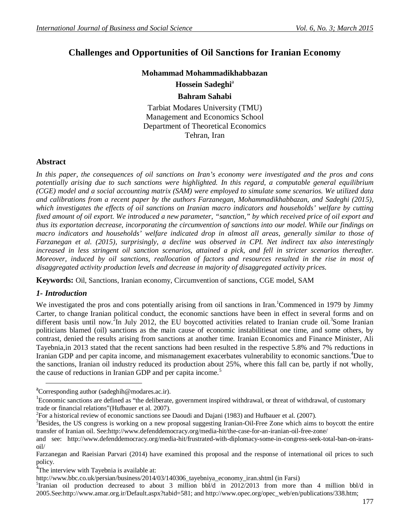# **Challenges and Opportunities of Oil Sanctions for Iranian Economy**

# **Mohammad Mohammadikhabbazan Hossein Sadeghi**<sup>a</sup> **Bahram Sahabi**

Tarbiat Modares University (TMU) Management and Economics School Department of Theoretical Economics Tehran, Iran

# **Abstract**

*In this paper, the consequences of oil sanctions on Iran's economy were investigated and the pros and cons potentially arising due to such sanctions were highlighted. In this regard, a computable general equilibrium (CGE) model and a social accounting matrix (SAM) were employed to simulate some scenarios. We utilized data and calibrations from a recent paper by the authors Farzanegan, Mohammadikhabbazan, and Sadeghi (2015), which investigates the effects of oil sanctions on Iranian macro indicators and households' welfare by cutting fixed amount of oil export. We introduced a new parameter, "sanction," by which received price of oil export and thus its exportation decrease, incorporating the circumvention of sanctions into our model. While our findings on macro indicators and households' welfare indicated drop in almost all areas, generally similar to those of Farzanegan et al. (2015), surprisingly, a decline was observed in CPI. Net indirect tax also interestingly*  increased in less stringent oil sanction scenarios, attained a pick, and fell in stricter scenarios thereafter. *Moreover, induced by oil sanctions, reallocation of factors and resources resulted in the rise in most of disaggregated activity production levels and decrease in majority of disaggregated activity prices.*

**Keywords:** Oil, Sanctions, Iranian economy, Circumvention of sanctions, CGE model, SAM

# *1- Introduction*

**.** 

We investigated the pros and cons potentially arising from oil sanctions in Iran.<sup>1</sup>Commenced in 1979 by Jimmy Carter, to change Iranian political conduct, the economic sanctions have been in effect in several forms and on different basis until now.<sup>2</sup>In July 2012, the EU boycotted activities related to Iranian crude oil.<sup>3</sup>Some Iranian politicians blamed (oil) sanctions as the main cause of economic instabilitiesat one time, and some others, by contrast, denied the results arising from sanctions at another time. Iranian Economics and Finance Minister, Ali Tayebnia,in 2013 stated that the recent sanctions had been resulted in the respective 5.8% and 7% reductions in Iranian GDP and per capita income, and mismanagement exacerbates vulnerability to economic sanctions. <sup>4</sup>Due to the sanctions, Iranian oil industry reduced its production about 25%, where this fall can be, partly if not wholly, the cause of reductions in Iranian GDP and per capita income.<sup>5</sup>

<sup>&</sup>lt;sup>a</sup>Corresponding author (sadeghih@modares.ac.ir).

<sup>&</sup>lt;sup>1</sup>Economic sanctions are defined as "the deliberate, government inspired withdrawal, or threat of withdrawal, of customary trade or financial relations"(Hufbauer et al. 2007).

<sup>&</sup>lt;sup>2</sup> For a historical review of economic sanctions see Daoudi and Dajani (1983) and Hufbauer et al. (2007).

<sup>&</sup>lt;sup>3</sup>Besides, the US congress is working on a new proposal suggesting Iranian-Oil-Free Zone which aims to boycott the entire transfer of Iranian oil. See:http://www.defenddemocracy.org/media-hit/the-case-for-an-iranian-oil-free-zone/

and see: http://www.defenddemocracy.org/media-hit/frustrated-with-diplomacy-some-in-congress-seek-total-ban-on-iransoil/

Farzanegan and Raeisian Parvari (2014) have examined this proposal and the response of international oil prices to such policy.

<sup>&</sup>lt;sup>4</sup>The interview with Tayebnia is available at:

http://www.bbc.co.uk/persian/business/2014/03/140306\_tayebniya\_economy\_iran.shtml (in Farsi)

<sup>&</sup>lt;sup>5</sup>Iranian oil production decreased to about 3 million bbl/d in 2012/2013 from more than 4 million bbl/d in 2005.See:http://www.amar.org.ir/Default.aspx?tabid=581; and http://www.opec.org/opec\_web/en/publications/338.htm;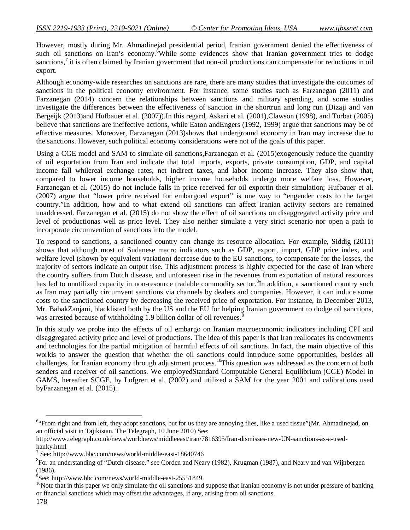However, mostly during Mr. Ahmadinejad presidential period, Iranian government denied the effectiveness of such oil sanctions on Iran's economy. While some evidences show that Iranian government tries to dodge sanctions, $\frac{7}{1}$  it is often claimed by Iranian government that non-oil productions can compensate for reductions in oil export.

Although economy-wide researches on sanctions are rare, there are many studies that investigate the outcomes of sanctions in the political economy environment. For instance, some studies such as Farzanegan (2011) and Farzanegan (2014) concern the relationships between sanctions and military spending, and some studies investigate the differences between the effectiveness of sanction in the shortrun and long run (Dizaji and van Bergeijk (2013)and Hufbauer et al. (2007)).In this regard, Askari et al. (2001),Clawson (1998), and Torbat (2005) believe that sanctions are ineffective actions, while Eaton andEngers (1992, 1999) argue that sanctions may be of effective measures. Moreover, Farzanegan (2013)shows that underground economy in Iran may increase due to the sanctions. However, such political economy considerations were not of the goals of this paper.

Using a CGE model and SAM to simulate oil sanctions, Farzanegan et al. (2015)exogenously reduce the quantity of oil exportation from Iran and indicate that total imports, exports, private consumption, GDP, and capital income fall whilereal exchange rates, net indirect taxes, and labor income increase. They also show that, compared to lower income households, higher income households undergo more welfare loss. However, Farzanegan et al. (2015) do not include falls in price received for oil exportin their simulation; Hufbauer et al. (2007) argue that "lower price received for embargoed export" is one way to "engender costs to the target country."In addition, how and to what extend oil sanctions can affect Iranian activity sectors are remained unaddressed. Farzanegan et al. (2015) do not show the effect of oil sanctions on disaggregated activity price and level of productionas well as price level. They also neither simulate a very strict scenario nor open a path to incorporate circumvention of sanctions into the model.

To respond to sanctions, a sanctioned country can change its resource allocation. For example, Siddig (2011) shows that although most of Sudanese macro indicators such as GDP, export, import, GDP price index, and welfare level (shown by equivalent variation) decrease due to the EU sanctions, to compensate for the losses, the majority of sectors indicate an output rise. This adjustment process is highly expected for the case of Iran where the country suffers from Dutch disease, and unforeseen rise in the revenues from exportation of natural resources has led to unutilized capacity in non-resource tradable commodity sector.<sup>8</sup>In addition, a sanctioned country such as Iran may partially circumvent sanctions via channels by dealers and companies. However, it can induce some costs to the sanctioned country by decreasing the received price of exportation. For instance, in December 2013, Mr. BabakZanjani, blacklisted both by the US and the EU for helping Iranian government to dodge oil sanctions, was arrested because of withholding 1.9 billion dollar of oil revenues.<sup>5</sup>

In this study we probe into the effects of oil embargo on Iranian macroeconomic indicators including CPI and disaggregated activity price and level of productions. The idea of this paper is that Iran reallocates its endowments and technologies for the partial mitigation of harmful effects of oil sanctions. In fact, the main objective of this workis to answer the question that whether the oil sanctions could introduce some opportunities, besides all challenges, for Iranian economy through adjustment process.<sup>10</sup>This question was addressed as the concern of both senders and receiver of oil sanctions. We employedStandard Computable General Equilibrium (CGE) Model in GAMS, hereafter SCGE, by Lofgren et al. (2002) and utilized a SAM for the year 2001 and calibrations used byFarzanegan et al. (2015).

1

<sup>&</sup>lt;sup>6</sup>"From right and from left, they adopt sanctions, but for us they are annoying flies, like a used tissue"(Mr. Ahmadinejad, on an official visit in Tajikistan, The Telegraph, 10 June 2010) See:

http://www.telegraph.co.uk/news/worldnews/middleeast/iran/7816395/Iran-dismisses-new-UN-sanctions-as-a-usedhanky.html

<sup>7</sup> See: http://www.bbc.com/news/world-middle-east-18640746

 ${}^{8}$ For an understanding of "Dutch disease," see Corden and Neary (1982), Krugman (1987), and Neary and van Wijnbergen (1986).

<sup>9</sup> See: http://www.bbc.com/news/world-middle-east-25551849

<sup>&</sup>lt;sup>10</sup>Note that in this paper we only simulate the oil sanctions and suppose that Iranian economy is not under pressure of banking or financial sanctions which may offset the advantages, if any, arising from oil sanctions.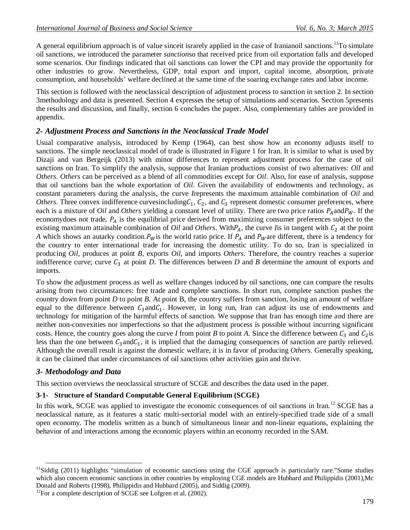A general equilibrium approach is of value sinceit israrely applied in the case of Iranianoil sanctions.<sup>11</sup>To simulate oil sanctions, we introduced the parameter *sanction*so that received price from oil exportation falls and developed some scenarios. Our findings indicated that oil sanctions can lower the CPI and may provide the opportunity for other industries to grow. Nevertheless, GDP, total export and import, capital income, absorption, private consumption, and households' welfare declined at the same time of the soaring exchange rates and labor income.

This section is followed with the neoclassical description of adjustment process to sanction in section 2. In section 3methodology and data is presented. Section 4 expresses the setup of simulations and scenarios. Section 5presents the results and discussion, and finally, section 6 concludes the paper. Also, complementary tables are provided in appendix.

## *2- Adjustment Process and Sanctions in the Neoclassical Trade Model*

Usual comparative analysis, introduced by Kemp (1964), can best show how an economy adjusts itself to sanctions. The simple neoclassical model of trade is illustrated in Figure 1 for Iran. It is similar to what is used by Dizaji and van Bergeijk (2013) with minor differences to represent adjustment process for the case of oil sanctions on Iran. To simplify the analysis, suppose that Iranian productions consist of two alternatives: *Oil* and *Others*. *Others* can be perceived as a blend of all commodities except for *Oil*. Also, for ease of analysis, suppose that oil sanctions ban the whole exportation of *Oil*. Given the availability of endowments and technology, as constant parameters during the analysis, the curve *I*represents the maximum attainable combination of *Oil* and *Others*. Three convex indifference curvesincluding $C_1$ ,  $C_2$ , and  $C_3$  represent domestic consumer preferences, where each is a mixture of *Oil* and *Others* yielding a constant level of utility. There are two price ratios  $P_A$ and $P_W$ . If the economydoes not trade,  $P_A$  is the equilibrial price derived from maximizing consumer preferences subject to the existing maximum attainable combination of *Oil* and *Others*. With $P_A$ , the curve *I* is in tangent with  $C_2$  at the point *A* which shows an autarky condition. $P_W$  is the world ratio price. If  $P_A$  and  $P_W$  are different, there is a tendency for the country to enter international trade for increasing the domestic utility. To do so, Iran is specialized in producing *Oil*, produces at point *B*, exports *Oil*, and imports *Others*. Therefore, the country reaches a superior indifference curve; curve  $C_3$  at point *D*. The differences between *D* and *B* determine the amount of exports and imports.

To show the adjustment process as well as welfare changes induced by oil sanctions, one can compare the results arising from two circumstances: free trade and complete sanctions. In short run, complete sanction pushes the country down from point *D* to point *B*. At point B, the country suffers from sanction, losing an amount of welfare equal to the difference between  $C_3$  and  $C_1$ . However, in long run, Iran can adjust its use of endowments and technology for mitigation of the harmful effects of sanction. We suppose that Iran has enough time and there are neither non-convexities nor imperfections so that the adjustment process is possible without incurring significant costs. Hence, the country goes along the curve *I* from point *B* to point *A*. Since the difference between  $C_3$  and  $C_2$  is less than the one between  $C_3$  and  $C_1$ , it is implied that the damaging consequences of sanction are partly relieved. Although the overall result is against the domestic welfare, it is in favor of producing *Others*. Generally speaking, it can be claimed that under circumstances of oil sanctions other activities gain and thrive.

### *3- Methodology and Data*

**.** 

This section overviews the neoclassical structure of SCGE and describes the data used in the paper.

### **3-1- Structure of Standard Computable General Equilibrium (SCGE)**

In this work, SCGE was applied to investigate the economic consequences of oil sanctions in Iran.<sup>12</sup> SCGE has a neoclassical nature, as it features a static multi-sectorial model with an entirely-specified trade side of a small open economy. The modelis written as a bunch of simultaneous linear and non-linear equations, explaining the behavior of and interactions among the economic players within an economy recorded in the SAM.

 $11$ Siddig (2011) highlights "simulation of economic sanctions using the CGE approach is particularly rare."Some studies which also concern economic sanctions in other countries by employing CGE models are Hubbard and Philippidis (2001),Mc Donald and Roberts (1998), Philippidis and Hubbard (2005), and Siddig (2009).

 $12$ For a complete description of SCGE see Lofgren et al. (2002).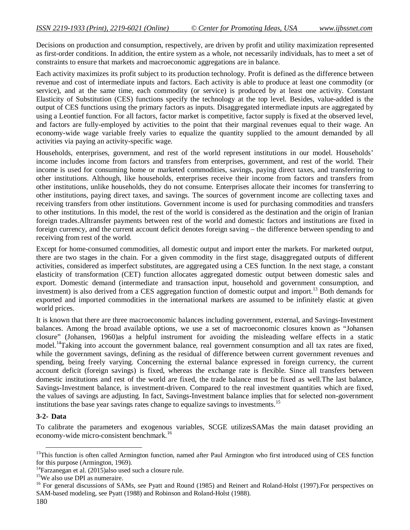Decisions on production and consumption, respectively, are driven by profit and utility maximization represented as first-order conditions. In addition, the entire system as a whole, not necessarily individuals, has to meet a set of constraints to ensure that markets and macroeconomic aggregations are in balance.

Each activity maximizes its profit subject to its production technology. Profit is defined as the difference between revenue and cost of intermediate inputs and factors. Each activity is able to produce at least one commodity (or service), and at the same time, each commodity (or service) is produced by at least one activity. Constant Elasticity of Substitution (CES) functions specify the technology at the top level. Besides, value-added is the output of CES functions using the primary factors as inputs. Disaggregated intermediate inputs are aggregated by using a Leontief function. For all factors, factor market is competitive, factor supply is fixed at the observed level, and factors are fully-employed by activities to the point that their marginal revenues equal to their wage. An economy-wide wage variable freely varies to equalize the quantity supplied to the amount demanded by all activities via paying an activity-specific wage.

Households, enterprises, government, and rest of the world represent institutions in our model. Households' income includes income from factors and transfers from enterprises, government, and rest of the world. Their income is used for consuming home or marketed commodities, savings, paying direct taxes, and transferring to other institutions. Although, like households, enterprises receive their income from factors and transfers from other institutions, unlike households, they do not consume. Enterprises allocate their incomes for transferring to other institutions, paying direct taxes, and savings. The sources of government income are collecting taxes and receiving transfers from other institutions. Government income is used for purchasing commodities and transfers to other institutions. In this model, the rest of the world is considered as the destination and the origin of Iranian foreign trades.Alltransfer payments between rest of the world and domestic factors and institutions are fixed in foreign currency, and the current account deficit denotes foreign saving – the difference between spending to and receiving from rest of the world.

Except for home-consumed commodities, all domestic output and import enter the markets. For marketed output, there are two stages in the chain. For a given commodity in the first stage, disaggregated outputs of different activities, considered as imperfect substitutes, are aggregated using a CES function. In the next stage, a constant elasticity of transformation (CET) function allocates aggregated domestic output between domestic sales and export. Domestic demand (intermediate and transaction input, household and government consumption, and investment) is also derived from a CES aggregation function of domestic output and import.<sup>13</sup> Both demands for exported and imported commodities in the international markets are assumed to be infinitely elastic at given world prices.

It is known that there are three macroeconomic balances including government, external, and Savings-Investment balances. Among the broad available options, we use a set of macroeconomic closures known as "Johansen closure" (Johansen, 1960)as a helpful instrument for avoiding the misleading welfare effects in a static model.<sup>14</sup>Taking into account the government balance, real government consumption and all tax rates are fixed, while the government savings, defining as the residual of difference between current government revenues and spending, being freely varying. Concerning the external balance expressed in foreign currency, the current account deficit (foreign savings) is fixed, whereas the exchange rate is flexible. Since all transfers between domestic institutions and rest of the world are fixed, the trade balance must be fixed as well.The last balance, Savings-Investment balance, is investment-driven. Compared to the real investment quantities which are fixed, the values of savings are adjusting. In fact, Savings-Investment balance implies that for selected non-government institutions the base year savings rates change to equalize savings to investments.<sup>15</sup>

#### **3-2- Data**

-

To calibrate the parameters and exogenous variables, SCGE utilizesSAMas the main dataset providing an economy-wide micro-consistent benchmark.<sup>16</sup>

 $13$ This function is often called Armington function, named after Paul Armington who first introduced using of CES function for this purpose (Armington, 1969).

 $14$ Farzanegan et al. (2015)also used such a closure rule.

<sup>&</sup>lt;sup>15</sup>We also use DPI as numeraire.

<sup>&</sup>lt;sup>16</sup> For general discussions of SAMs, see Pyatt and Round (1985) and Reinert and Roland-Holst (1997). For perspectives on SAM-based modeling, see Pyatt (1988) and Robinson and Roland-Holst (1988).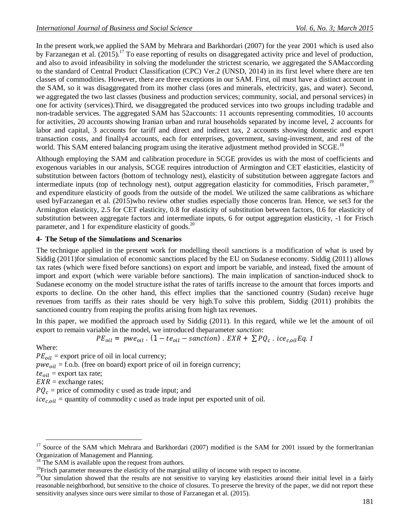In the present work,we applied the SAM by Mehrara and Barkhordari (2007) for the year 2001 which is used also by Farzanegan et al.  $(2015)^{17}$  To ease reporting of results on disaggregated activity price and level of production, and also to avoid infeasibility in solving the modelunder the strictest scenario, we aggregated the SAMaccording to the standard of Central Product Classification (CPC) Ver.2 (UNSD, 2014) in its first level where there are ten classes of commodities. However, there are three exceptions in our SAM. First, oil must have a distinct account in the SAM, so it was disaggregated from its mother class (ores and minerals, electricity, gas, and water). Second, we aggregated the two last classes (business and production services; community, social, and personal services) in one for activity (services).Third, we disaggregated the produced services into two groups including tradable and non-tradable services. The aggregated SAM has 52accounts: 11 accounts representing commodities, 10 accounts for activities, 20 accounts showing Iranian urban and rural households separated by income level, 2 accounts for labor and capital, 3 accounts for tariff and direct and indirect tax, 2 accounts showing domestic and export transaction costs, and finally4 accounts, each for enterprises, government, saving-investment, and rest of the world. This SAM entered balancing program using the iterative adjustment method provided in SCGE.<sup>18</sup>

Although employing the SAM and calibration procedure in SCGE provides us with the most of coefficients and exogenous variables in our analysis, SCGE requires introduction of Armington and CET elasticities, elasticity of substitution between factors (bottom of technology nest), elasticity of substitution between aggregate factors and intermediate inputs (top of technology nest), output aggregation elasticity for commodities, Frisch parameter,<sup>19</sup> and expenditure elasticity of goods from the outside of the model. We utilized the same calibrations as whichare used byFarzanegan et al. (2015)who review other studies especially those concerns Iran. Hence, we set3 for the Armington elasticity, 2.5 for CET elasticity, 0.8 for elasticity of substitution between factors, 0.6 for elasticity of substitution between aggregate factors and intermediate inputs, 6 for output aggregation elasticity, -1 for Frisch parameter, and 1 for expenditure elasticity of goods.<sup>20</sup>

## **4- The Setup of the Simulations and Scenarios**

The technique applied in the present work for modelling theoil sanctions is a modification of what is used by Siddig (2011)for simulation of economic sanctions placed by the EU on Sudanese economy. Siddig (2011) allows tax rates (which were fixed before sanctions) on export and import be variable, and instead, fixed the amount of import and export (which were variable before sanctions). The main implication of sanction-induced shock to Sudanese economy on the model structure isthat the rates of tariffs increase to the amount that forces imports and exports to decline. On the other hand, this effect implies that the sanctioned country (Sudan) receive huge revenues from tariffs as their rates should be very high.To solve this problem, Siddig (2011) prohibits the sanctioned country from reaping the profits arising from high tax revenues.

In this paper, we modified the approach used by Siddig (2011). In this regard, while we let the amount of oil export to remain variable in the model, we introduced theparameter *sanction*:

$$
PE_{oil} = pwe_{oil}
$$
.  $(1 - te_{oil} - \text{sanction})$ .  $EXR + \sum PQ_c$ .  $ice_{c,oil}Eq$ . 1

Where:

 $PE_{oil}$  = export price of oil in local currency;  $\mu$ *we<sub>oil</sub>* = f.o.b. (free on board) export price of oil in foreign currency;  $te_{oil}$  = export tax rate;  $EXR =$  exchange rates;  $PQ_c$  = price of commodity c used as trade input; and  $ice_{c, oil}$  = quantity of commodity c used as trade input per exported unit of oil.

**<sup>.</sup>** <sup>17</sup> Source of the SAM which Mehrara and Barkhordari (2007) modified is the SAM for 2001 issued by the formerIranian Organization of Management and Planning.

 $18$  The SAM is available upon the request from authors.

 $<sup>19</sup>$ Frisch parameter measures the elasticity of the marginal utility of income with respect to income.</sup>

 $^{20}$ Our simulation showed that the results are not sensitive to varying key elasticities around their initial level in a fairly reasonable neighborhood, but sensitive to the choice of closures. To preserve the brevity of the paper, we did not report these sensitivity analyses since ours were similar to those of Farzanegan et al. (2015).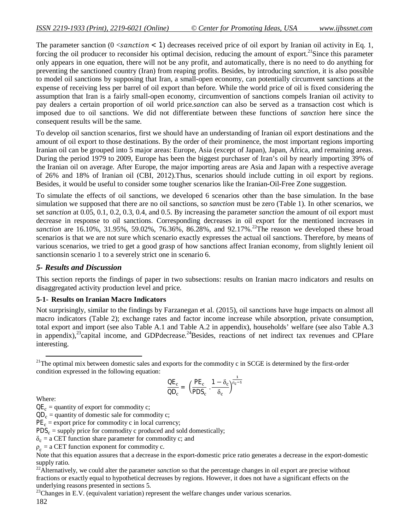The parameter sanction  $(0 \leq s$  anction  $\lt 1$ ) decreases received price of oil export by Iranian oil activity in Eq. 1, forcing the oil producer to reconsider his optimal decision, reducing the amount of export.<sup>21</sup>Since this parameter only appears in one equation, there will not be any profit, and automatically, there is no need to do anything for preventing the sanctioned country (Iran) from reaping profits. Besides, by introducing *sanction*, it is also possible to model oil sanctions by supposing that Iran, a small-open economy, can potentially circumvent sanctions at the expense of receiving less per barrel of oil export than before. While the world price of oil is fixed considering the assumption that Iran is a fairly small-open economy, circumvention of sanctions compels Iranian oil activity to pay dealers a certain proportion of oil world price.*sanction* can also be served as a transaction cost which is imposed due to oil sanctions. We did not differentiate between these functions of *sanction* here since the consequent results will be the same.

To develop oil sanction scenarios, first we should have an understanding of Iranian oil export destinations and the amount of oil export to those destinations. By the order of their prominence, the most important regions importing Iranian oil can be grouped into 5 major areas: Europe, Asia (except of Japan), Japan, Africa, and remaining areas. During the period 1979 to 2009, Europe has been the biggest purchaser of Iran's oil by nearly importing 39% of the Iranian oil on average. After Europe, the major importing areas are Asia and Japan with a respective average of 26% and 18% of Iranian oil (CBI, 2012).Thus, scenarios should include cutting in oil export by regions. Besides, it would be useful to consider some tougher scenarios like the Iranian-Oil-Free Zone suggestion.

To simulate the effects of oil sanctions, we developed 6 scenarios other than the base simulation. In the base simulation we supposed that there are no oil sanctions, so *sanction* must be zero (Table 1). In other scenarios, we set *sanction* at 0.05, 0.1, 0.2, 0.3, 0.4, and 0.5. By increasing the parameter *sanction* the amount of oil export must decrease in response to oil sanctions. Corresponding decreases in oil export for the mentioned increases in *sanction* are 16.10%, 31.95%, 59.02%, 76.36%, 86.28%, and 92.17%.<sup>22</sup>The reason we developed these broad scenarios is that we are not sure which scenario exactly expresses the actual oil sanctions. Therefore, by means of various scenarios, we tried to get a good grasp of how sanctions affect Iranian economy, from slightly lenient oil sanctionsin scenario 1 to a severely strict one in scenario 6.

#### *5- Results and Discussion*

This section reports the findings of paper in two subsections: results on Iranian macro indicators and results on disaggregated activity production level and price.

### **5-1- Results on Iranian Macro Indicators**

Not surprisingly, similar to the findings by Farzanegan et al. (2015), oil sanctions have huge impacts on almost all macro indicators (Table 2); exchange rates and factor income increase while absorption, private consumption, total export and import (see also Table A.1 and Table A.2 in appendix), households' welfare (see also Table A.3 in appendix),<sup>23</sup>capital income, and GDP decrease.<sup>24</sup>Besides, reactions of net indirect tax revenues and CPI are interesting.

$$
\frac{\text{OE}_c}{\text{OD}_c} = \left(\frac{\text{PE}_c}{\text{PDS}_c} \cdot \frac{1 - \delta_c}{\delta_c}\right)^{\frac{1}{\rho_c - 1}}
$$

Where:

1

 $PE<sub>c</sub>$  = export price for commodity c in local currency;

 $PDS_c$  = supply price for commodity c produced and sold domestically;

 $\delta_c$  = a CET function share parameter for commodity c; and

 $\rho_c$  = a CET function exponent for commodity c.

<sup>22</sup>Alternatively, we could alter the parameter *sanction* so that the percentage changes in oil export are precise without fractions or exactly equal to hypothetical decreases by regions. However, it does not have a significant effects on the underlying reasons presented in sections 5.

182  $23$ Changes in E.V. (equivalent variation) represent the welfare changes under various scenarios.

 $21$ The optimal mix between domestic sales and exports for the commodity c in SCGE is determined by the first-order condition expressed in the following equation:

 $QE_c$  = quantity of export for commodity c;

 $QD_c$  = quantity of domestic sale for commodity c;

Note that this equation assures that a decrease in the export-domestic price ratio generates a decrease in the export-domestic supply ratio.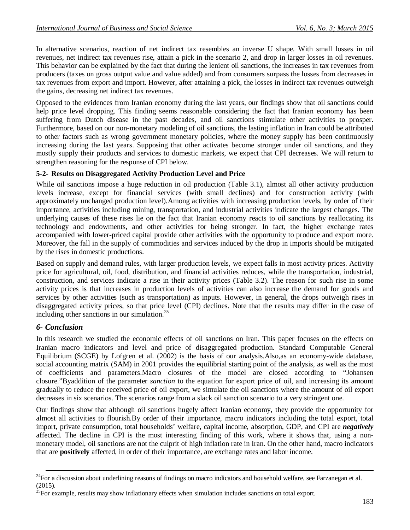In alternative scenarios, reaction of net indirect tax resembles an inverse U shape. With small losses in oil revenues, net indirect tax revenues rise, attain a pick in the scenario 2, and drop in larger losses in oil revenues. This behavior can be explained by the fact that during the lenient oil sanctions, the increases in tax revenues from producers (taxes on gross output value and value added) and from consumers surpass the losses from decreases in tax revenues from export and import. However, after attaining a pick, the losses in indirect tax revenues outweigh the gains, decreasing net indirect tax revenues.

Opposed to the evidences from Iranian economy during the last years, our findings show that oil sanctions could help price level dropping. This finding seems reasonable considering the fact that Iranian economy has been suffering from Dutch disease in the past decades, and oil sanctions stimulate other activities to prosper. Furthermore, based on our non-monetary modeling of oil sanctions, the lasting inflation in Iran could be attributed to other factors such as wrong government monetary policies, where the money supply has been continuously increasing during the last years. Supposing that other activates become stronger under oil sanctions, and they mostly supply their products and services to domestic markets, we expect that CPI decreases. We will return to strengthen reasoning for the response of CPI below.

### **5-2- Results on Disaggregated Activity Production Level and Price**

While oil sanctions impose a huge reduction in oil production (Table 3.1), almost all other activity production levels increase, except for financial services (with small declines) and for construction activity (with approximately unchanged production level).Among activities with increasing production levels, by order of their importance, activities including mining, transportation, and industrial activities indicate the largest changes. The underlying causes of these rises lie on the fact that Iranian economy reacts to oil sanctions by reallocating its technology and endowments, and other activities for being stronger. In fact, the higher exchange rates accompanied with lower-priced capital provide other activities with the opportunity to produce and export more. Moreover, the fall in the supply of commodities and services induced by the drop in imports should be mitigated by the rises in domestic productions.

Based on supply and demand rules, with larger production levels, we expect falls in most activity prices. Activity price for agricultural, oil, food, distribution, and financial activities reduces, while the transportation, industrial, construction, and services indicate a rise in their activity prices (Table 3.2). The reason for such rise in some activity prices is that increases in production levels of activities can also increase the demand for goods and services by other activities (such as transportation) as inputs. However, in general, the drops outweigh rises in disaggregated activity prices, so that price level (CPI) declines. Note that the results may differ in the case of including other sanctions in our simulation. $^{25}$ 

### *6- Conclusion*

 $\overline{a}$ 

In this research we studied the economic effects of oil sanctions on Iran. This paper focuses on the effects on Iranian macro indicators and level and price of disaggregated production. Standard Computable General Equilibrium (SCGE) by Lofgren et al. (2002) is the basis of our analysis.Also,as an economy-wide database, social accounting matrix (SAM) in 2001 provides the equilibrial starting point of the analysis, as well as the most of coefficients and parameters.Macro closures of the model are closed according to "Johansen closure."Byaddition of the parameter *sanction* to the equation for export price of oil, and increasing its amount gradually to reduce the received price of oil export, we simulate the oil sanctions where the amount of oil export decreases in six scenarios. The scenarios range from a slack oil sanction scenario to a very stringent one.

Our findings show that although oil sanctions hugely affect Iranian economy, they provide the opportunity for almost all activities to flourish.By order of their importance, macro indicators including the total export, total import, private consumption, total households' welfare, capital income, absorption, GDP, and CPI are *negatively* affected. The decline in CPI is the most interesting finding of this work, where it shows that, using a nonmonetary model, oil sanctions are not the culprit of high inflation rate in Iran. On the other hand, macro indicators that are **positively** affected, in order of their importance, are exchange rates and labor income.

 $^{24}$ For a discussion about underlining reasons of findings on macro indicators and household welfare, see Farzanegan et al. (2015).

 $25$ For example, results may show inflationary effects when simulation includes sanctions on total export.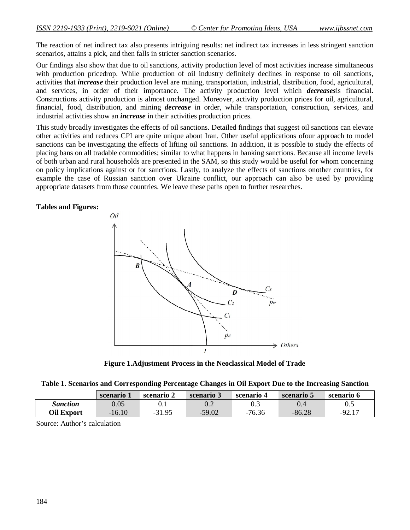The reaction of net indirect tax also presents intriguing results: net indirect tax increases in less stringent sanction scenarios, attains a pick, and then falls in stricter sanction scenarios.

Our findings also show that due to oil sanctions, activity production level of most activities increase simultaneous with production pricedrop. While production of oil industry definitely declines in response to oil sanctions, activities that *increase* their production level are mining, transportation, industrial, distribution, food, agricultural, and services, in order of their importance. The activity production level which *decreases*is financial. Constructions activity production is almost unchanged. Moreover, activity production prices for oil, agricultural, financial, food, distribution, and mining *decrease* in order, while transportation, construction, services, and industrial activities show an *increase* in their activities production prices.

This study broadly investigates the effects of oil sanctions. Detailed findings that suggest oil sanctions can elevate other activities and reduces CPI are quite unique about Iran. Other useful applications ofour approach to model sanctions can be investigating the effects of lifting oil sanctions. In addition, it is possible to study the effects of placing bans on all tradable commodities; similar to what happens in banking sanctions. Because all income levels of both urban and rural households are presented in the SAM, so this study would be useful for whom concerning on policy implications against or for sanctions. Lastly, to analyze the effects of sanctions onother countries, for example the case of Russian sanction over Ukraine conflict, our approach can also be used by providing appropriate datasets from those countries. We leave these paths open to further researches.

#### **Tables and Figures:**



**Figure 1.Adjustment Process in the Neoclassical Model of Trade**

| Table 1. Scenarios and Corresponding Percentage Changes in Oil Export Due to the Increasing Sanction |  |  |  |  |
|------------------------------------------------------------------------------------------------------|--|--|--|--|
|                                                                                                      |  |  |  |  |

|                   | scenario . | scenario $\omega$ | scenario 3 | scenario 4 | scenario 5 | scenario 6 |
|-------------------|------------|-------------------|------------|------------|------------|------------|
| Sanction          | $0.05\,$   | 0. I              | $\rm 0.2$  | 0.3        | $\rm 0.4$  | 0.5        |
| <b>Oil Export</b> | $-16.10$   | $-31.95$          | $-59.02$   | $-76.36$   | $-86.28$   | $-92.17$   |

Source: Author's calculation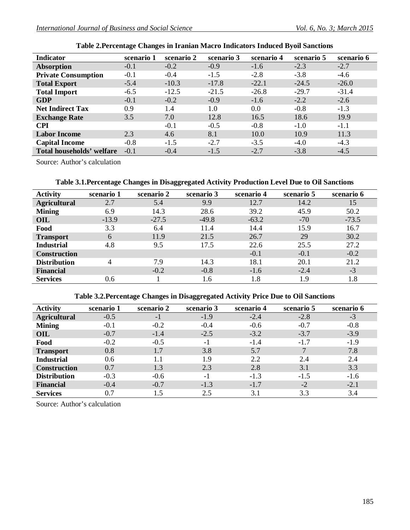| <b>Indicator</b>           | scenario 1 | scenario 2 | scenario 3 | scenario 4 | scenario 5 | scenario 6 |
|----------------------------|------------|------------|------------|------------|------------|------------|
| <b>Absorption</b>          | $-0.1$     | $-0.2$     | $-0.9$     | $-1.6$     | $-2.3$     | $-2.7$     |
| <b>Private Consumption</b> | $-0.1$     | $-0.4$     | $-1.5$     | $-2.8$     | $-3.8$     | $-4.6$     |
| <b>Total Export</b>        | $-5.4$     | $-10.3$    | $-17.8$    | $-22.1$    | $-24.5$    | $-26.0$    |
| <b>Total Import</b>        | $-6.5$     | $-12.5$    | $-21.5$    | $-26.8$    | $-29.7$    | $-31.4$    |
| <b>GDP</b>                 | $-0.1$     | $-0.2$     | $-0.9$     | $-1.6$     | $-2.2$     | $-2.6$     |
| <b>Net Indirect Tax</b>    | 0.9        | 1.4        | 1.0        | 0.0        | $-0.8$     | $-1.3$     |
| <b>Exchange Rate</b>       | 3.5        | 7.0        | 12.8       | 16.5       | 18.6       | 19.9       |
| <b>CPI</b>                 |            | $-0.1$     | $-0.5$     | $-0.8$     | $-1.0$     | $-1.1$     |
| <b>Labor Income</b>        | 2.3        | 4.6        | 8.1        | 10.0       | 10.9       | 11.3       |
| <b>Capital Income</b>      | $-0.8$     | $-1.5$     | $-2.7$     | $-3.5$     | $-4.0$     | $-4.3$     |
| Total households' welfare  | $-0.1$     | $-0.4$     | $-1.5$     | $-2.7$     | $-3.8$     | $-4.5$     |

Source: Author's calculation

## **Table 3.1.Percentage Changes in Disaggregated Activity Production Level Due to Oil Sanctions**

| <b>Activity</b>     | scenario 1 | scenario 2 | scenario 3 | scenario 4 | scenario 5 | scenario 6 |
|---------------------|------------|------------|------------|------------|------------|------------|
| <b>Agricultural</b> | 2.7        | 5.4        | 9.9        | 12.7       | 14.2       | 15         |
| <b>Mining</b>       | 6.9        | 14.3       | 28.6       | 39.2       | 45.9       | 50.2       |
| OIL                 | $-13.9$    | $-27.5$    | $-49.8$    | $-63.2$    | $-70$      | $-73.5$    |
| Food                | 3.3        | 6.4        | 11.4       | 14.4       | 15.9       | 16.7       |
| <b>Transport</b>    | 6          | 11.9       | 21.5       | 26.7       | 29         | 30.2       |
| <b>Industrial</b>   | 4.8        | 9.5        | 17.5       | 22.6       | 25.5       | 27.2       |
| <b>Construction</b> |            |            |            | $-0.1$     | $-0.1$     | $-0.2$     |
| <b>Distribution</b> | 4          | 7.9        | 14.3       | 18.1       | 20.1       | 21.2       |
| <b>Financial</b>    |            | $-0.2$     | $-0.8$     | $-1.6$     | $-2.4$     | $-3$       |
| <b>Services</b>     | 0.6        |            | 1.6        | 1.8        | 1.9        | 1.8        |

## **Table 3.2.Percentage Changes in Disaggregated Activity Price Due to Oil Sanctions**

| <b>Activity</b>     | scenario 1 | scenario 2 | scenario 3 | scenario 4 | scenario 5 | scenario 6 |
|---------------------|------------|------------|------------|------------|------------|------------|
| <b>Agricultural</b> | $-0.5$     | $-1$       | $-1.9$     | $-2.4$     | $-2.8$     | $-3$       |
| <b>Mining</b>       | $-0.1$     | $-0.2$     | $-0.4$     | $-0.6$     | $-0.7$     | $-0.8$     |
| OIL                 | $-0.7$     | $-1.4$     | $-2.5$     | $-3.2$     | $-3.7$     | $-3.9$     |
| Food                | $-0.2$     | $-0.5$     | $-1$       | $-1.4$     | $-1.7$     | $-1.9$     |
| <b>Transport</b>    | 0.8        | 1.7        | 3.8        | 5.7        |            | 7.8        |
| <b>Industrial</b>   | 0.6        | 1.1        | 1.9        | 2.2        | 2.4        | 2.4        |
| <b>Construction</b> | 0.7        | 1.3        | 2.3        | 2.8        | 3.1        | 3.3        |
| <b>Distribution</b> | $-0.3$     | $-0.6$     | $-1$       | $-1.3$     | $-1.5$     | $-1.6$     |
| <b>Financial</b>    | $-0.4$     | $-0.7$     | $-1.3$     | $-1.7$     | $-2$       | $-2.1$     |
| <b>Services</b>     | 0.7        | 1.5        | 2.5        | 3.1        | 3.3        | 3.4        |

Source: Author's calculation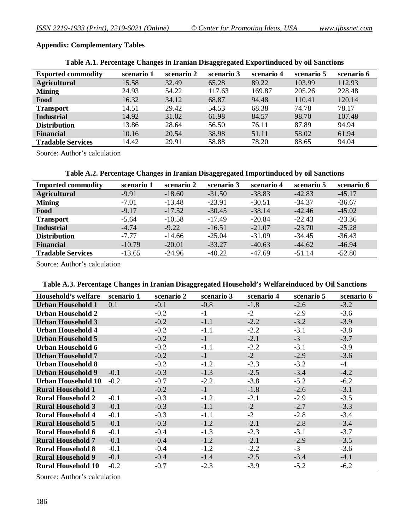## **Appendix: Complementary Tables**

|                           | ີ          |            |            |            |            |            |
|---------------------------|------------|------------|------------|------------|------------|------------|
| <b>Exported commodity</b> | scenario 1 | scenario 2 | scenario 3 | scenario 4 | scenario 5 | scenario 6 |
| <b>Agricultural</b>       | 15.58      | 32.49      | 65.28      | 89.22      | 103.99     | 112.93     |
| <b>Mining</b>             | 24.93      | 54.22      | 117.63     | 169.87     | 205.26     | 228.48     |
| Food                      | 16.32      | 34.12      | 68.87      | 94.48      | 110.41     | 120.14     |
| <b>Transport</b>          | 14.51      | 29.42      | 54.53      | 68.38      | 74.78      | 78.17      |
| <b>Industrial</b>         | 14.92      | 31.02      | 61.98      | 84.57      | 98.70      | 107.48     |
| <b>Distribution</b>       | 13.86      | 28.64      | 56.50      | 76.11      | 87.89      | 94.94      |
| <b>Financial</b>          | 10.16      | 20.54      | 38.98      | 51.11      | 58.02      | 61.94      |
| <b>Tradable Services</b>  | 14.42      | 29.91      | 58.88      | 78.20      | 88.65      | 94.04      |

#### **Table A.1. Percentage Changes in Iranian Disaggregated Exportinduced by oil Sanctions**

Source: Author's calculation

#### **Table A.2. Percentage Changes in Iranian Disaggregated Importinduced by oil Sanctions**

| <b>Imported commodity</b> | scenario 1 | scenario 2 | scenario 3 | scenario 4 | scenario 5 | scenario 6 |
|---------------------------|------------|------------|------------|------------|------------|------------|
| <b>Agricultural</b>       | $-9.91$    | $-18.60$   | $-31.50$   | $-38.83$   | $-42.83$   | $-45.17$   |
| <b>Mining</b>             | $-7.01$    | $-13.48$   | $-23.91$   | $-30.51$   | $-34.37$   | $-36.67$   |
| Food                      | $-9.17$    | $-17.52$   | $-30.45$   | $-38.14$   | $-42.46$   | $-45.02$   |
| <b>Transport</b>          | $-5.64$    | $-10.58$   | $-17.49$   | $-20.84$   | $-22.43$   | $-23.36$   |
| <b>Industrial</b>         | $-4.74$    | $-9.22$    | $-16.51$   | $-21.07$   | $-23.70$   | $-25.28$   |
| <b>Distribution</b>       | $-7.77$    | $-14.66$   | $-25.04$   | $-31.09$   | $-34.45$   | $-36.43$   |
| <b>Financial</b>          | $-10.79$   | $-20.01$   | $-33.27$   | $-40.63$   | $-44.62$   | $-46.94$   |
| <b>Tradable Services</b>  | $-13.65$   | $-24.96$   | $-40.22$   | $-47.69$   | $-51.14$   | $-52.80$   |

Source: Author's calculation

#### **Table A.3. Percentage Changes in Iranian Disaggregated Household's Welfareinduced by Oil Sanctions**

| Household's welfare       | scenario 1 | scenario 2 | scenario 3 | scenario 4 | scenario 5 | scenario 6 |
|---------------------------|------------|------------|------------|------------|------------|------------|
| <b>Urban Household 1</b>  | 0.1        | $-0.1$     | $-0.8$     | $-1.8$     | $-2.6$     | $-3.2$     |
| <b>Urban Household 2</b>  |            | $-0.2$     | $-1$       | $-2$       | $-2.9$     | $-3.6$     |
| <b>Urban Household 3</b>  |            | $-0.2$     | $-1.1$     | $-2.2$     | $-3.2$     | $-3.9$     |
| <b>Urban Household 4</b>  |            | $-0.2$     | $-1.1$     | $-2.2$     | $-3.1$     | $-3.8$     |
| <b>Urban Household 5</b>  |            | $-0.2$     | $-1$       | $-2.1$     | $-3$       | $-3.7$     |
| <b>Urban Household 6</b>  |            | $-0.2$     | $-1.1$     | $-2.2$     | $-3.1$     | $-3.9$     |
| <b>Urban Household 7</b>  |            | $-0.2$     | $-1$       | $-2$       | $-2.9$     | $-3.6$     |
| Urban Household 8         |            | $-0.2$     | $-1.2$     | $-2.3$     | $-3.2$     | $-4$       |
| <b>Urban Household 9</b>  | $-0.1$     | $-0.3$     | $-1.3$     | $-2.5$     | $-3.4$     | $-4.2$     |
| <b>Urban Household 10</b> | $-0.2$     | $-0.7$     | $-2.2$     | $-3.8$     | $-5.2$     | $-6.2$     |
| <b>Rural Household 1</b>  |            | $-0.2$     | $-1$       | $-1.8$     | $-2.6$     | $-3.1$     |
| <b>Rural Household 2</b>  | $-0.1$     | $-0.3$     | $-1.2$     | $-2.1$     | $-2.9$     | $-3.5$     |
| <b>Rural Household 3</b>  | $-0.1$     | $-0.3$     | $-1.1$     | $-2$       | $-2.7$     | $-3.3$     |
| <b>Rural Household 4</b>  | $-0.1$     | $-0.3$     | $-1.1$     | $-2$       | $-2.8$     | $-3.4$     |
| <b>Rural Household 5</b>  | $-0.1$     | $-0.3$     | $-1.2$     | $-2.1$     | $-2.8$     | $-3.4$     |
| <b>Rural Household 6</b>  | $-0.1$     | $-0.4$     | $-1.3$     | $-2.3$     | $-3.1$     | $-3.7$     |
| <b>Rural Household 7</b>  | $-0.1$     | $-0.4$     | $-1.2$     | $-2.1$     | $-2.9$     | $-3.5$     |
| <b>Rural Household 8</b>  | $-0.1$     | $-0.4$     | $-1.2$     | $-2.2$     | $-3$       | $-3.6$     |
| <b>Rural Household 9</b>  | $-0.1$     | $-0.4$     | $-1.4$     | $-2.5$     | $-3.4$     | $-4.1$     |
| <b>Rural Household 10</b> | $-0.2$     | $-0.7$     | $-2.3$     | $-3.9$     | $-5.2$     | $-6.2$     |

Source: Author's calculation